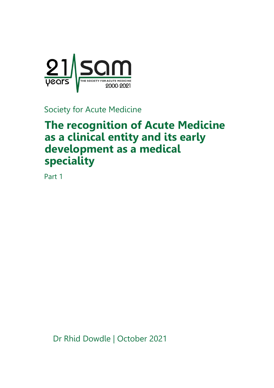

Society for Acute Medicine

# **The recognition of Acute Medicine as a clinical entity and its early development as a medical speciality**

Part 1

Dr Rhid Dowdle | October 2021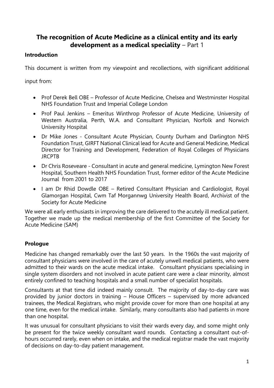## **The recognition of Acute Medicine as a clinical entity and its early development as a medical speciality** – Part 1

#### **Introduction**

This document is written from my viewpoint and recollections, with significant additional

input from:

- Prof Derek Bell OBE Professor of Acute Medicine, Chelsea and Westminster Hospital NHS Foundation Trust and Imperial College London
- Prof Paul Jenkins Emeritus Winthrop Professor of Acute Medicine, University of Western Australia, Perth, W.A. and Consultant Physician, Norfolk and Norwich University Hospital
- Dr Mike Jones Consultant Acute Physician, County Durham and Darlington NHS Foundation Trust, GIRFT National Clinical lead for Acute and General Medicine, Medical Director for Training and Development, Federation of Royal Colleges of Physicians JRCPTB
- Dr Chris Roseveare Consultant in acute and general medicine, Lymington New Forest Hospital, Southern Health NHS Foundation Trust, former editor of the Acute Medicine Journal from 2001 to 2017
- I am Dr Rhid Dowdle OBE Retired Consultant Physician and Cardiologist, Royal Glamorgan Hospital, Cwm Taf Morgannwg University Health Board, Archivist of the Society for Acute Medicine

We were all early enthusiasts in improving the care delivered to the acutely ill medical patient. Together we made up the medical membership of the first Committee of the Society for Acute Medicine (SAM)

### **Prologue**

Medicine has changed remarkably over the last 50 years. In the 1960s the vast majority of consultant physicians were involved in the care of acutely unwell medical patients, who were admitted to their wards on the acute medical intake. Consultant physicians specialising in single system disorders and not involved in acute patient care were a clear minority, almost entirely confined to teaching hospitals and a small number of specialist hospitals.

Consultants at that time did indeed mainly consult. The majority of day-to-day care was provided by junior doctors in training – House Officers – supervised by more advanced trainees, the Medical Registrars, who might provide cover for more than one hospital at any one time, even for the medical intake. Similarly, many consultants also had patients in more than one hospital.

It was unusual for consultant physicians to visit their wards every day, and some might only be present for the twice weekly consultant ward rounds. Contacting a consultant out-ofhours occurred rarely, even when on intake, and the medical registrar made the vast majority of decisions on day-to-day patient management.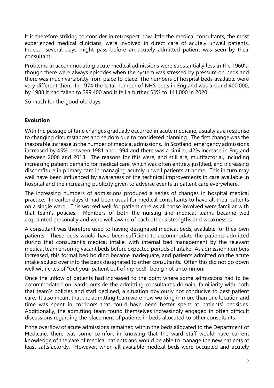It is therefore striking to consider in retrospect how little the medical consultants, the most experienced medical clinicians, were involved in direct care of acutely unwell patients. Indeed, several days might pass before an acutely admitted patient was seen by their consultant.

Problems in accommodating acute medical admissions were substantially less in the 1960's, though there were always episodes when the system was stressed by pressure on beds and there was much variability from place to place. The numbers of hospital beds available were very different then. In 1974 the total number of NHS beds in England was around 400,000, by 1988 it had fallen to 299,400 and it fell a further 53% to 141,000 in 2020.

So much for the good old days.

#### **Evolution**

With the passage of time changes gradually occurred in acute medicine, usually as a response to changing circumstances and seldom due to considered planning. The first change was the inexorable increase in the number of medical admissions. In Scotland, emergency admissions increased by 45% between 1981 and 1994 and there was a similar, 42% increase in England between 2006 and 2018. The reasons for this were, and still are, multifactorial, including increasing patient demand for medical care, which was often entirely justified, and increasing discomfiture in primary care in managing acutely unwell patients at home. This in turn may well have been influenced by awareness of the technical improvements in care available in hospital and the increasing publicity given to adverse events in patient care everywhere.

The increasing numbers of admissions produced a series of changes in hospital medical practice. In earlier days it had been usual for medical consultants to have all their patients on a single ward. This worked well for patient care as all those involved were familiar with that team's policies. Members of both the nursing and medical teams became well acquainted personally and were well aware of each other's strengths and weaknesses.

A consultant was therefore used to having designated medical beds, available for their own patients. These beds would have been sufficient to accommodate the patients admitted during that consultant's medical intake, with internal bed management by the relevant medical team ensuring vacant beds before expected periods of intake. As admission numbers increased, this formal bed holding became inadequate, and patients admitted on the acute intake spilled over into the beds designated to other consultants. Often this did not go down well with cries of "Get your patient out of my bed!" being not uncommon.

Once the inflow of patients had increased to the point where some admissions had to be accommodated on wards outside the admitting consultant's domain, familiarity with both that team's policies and staff declined, a situation obviously not conducive to best patient care. It also meant that the admitting team were now working in more than one location and time was spent in corridors that could have been better spent at patients' bedsides. Additionally, the admitting team found themselves increasingly engaged in often difficult discussions regarding the placement of patients in beds allocated to other consultants.

If the overflow of acute admissions remained within the beds allocated to the Department of Medicine, there was some comfort in knowing that the ward staff would have current knowledge of the care of medical patients and would be able to manage the new patients at least satisfactorily. However, when all available medical beds were occupied and acutely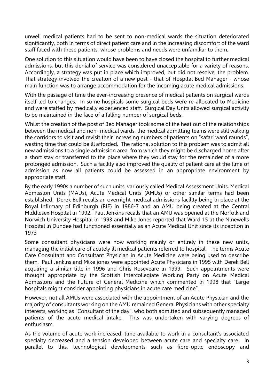unwell medical patients had to be sent to non-medical wards the situation deteriorated significantly, both in terms of direct patient care and in the increasing discomfort of the ward staff faced with these patients, whose problems and needs were unfamiliar to them.

One solution to this situation would have been to have closed the hospital to further medical admissions, but this denial of service was considered unacceptable for a variety of reasons. Accordingly, a strategy was put in place which improved, but did not resolve, the problem. That strategy involved the creation of a new post - that of Hospital Bed Manager - whose main function was to arrange accommodation for the incoming acute medical admissions.

With the passage of time the ever-increasing presence of medical patients on surgical wards itself led to changes. In some hospitals some surgical beds were re-allocated to Medicine and were staffed by medically experienced staff. Surgical Day Units allowed surgical activity to be maintained in the face of a falling number of surgical beds.

Whilst the creation of the post of Bed Manager took some of the heat out of the relationships between the medical and non- medical wards, the medical admitting teams were still walking the corridors to visit and revisit their increasing numbers of patients on "safari ward rounds", wasting time that could be ill afforded. The rational solution to this problem was to admit all new admissions to a single admission area, from which they might be discharged home after a short stay or transferred to the place where they would stay for the remainder of a more prolonged admission. Such a facility also improved the quality of patient care at the time of admission as now all patients could be assessed in an appropriate environment by appropriate staff.

By the early 1990s a number of such units, variously called Medical Assessment Units, Medical Admission Units (MAUs), Acute Medical Units (AMUs) or other similar terms had been established. Derek Bell recalls an overnight medical admissions facility being in place at the Royal Infirmary of Edinburgh (RIE) in 1986-7 and an AMU being created at the Central Middlesex Hospital in 1992. Paul Jenkins recalls that an AMU was opened at the Norfolk and Norwich University Hospital in 1993 and Mike Jones reported that Ward 15 at the Ninewells Hospital in Dundee had functioned essentially as an Acute Medical Unit since its inception in 1973

Some consultant physicians were now working mainly or entirely in these new units, managing the initial care of acutely ill medical patients referred to hospital. The terms Acute Care Consultant and Consultant Physician in Acute Medicine were being used to describe them. Paul Jenkins and Mike jones were appointed Acute Physicians in 1995 with Derek Bell acquiring a similar title in 1996 and Chris Roseveare in 1999. Such appointments were thought appropriate by the Scottish Intercollegiate Working Party on Acute Medical Admissions and the Future of General Medicine which commented in 1998 that "Large hospitals might consider appointing physicians in acute care medicine".

However, not all AMUs were associated with the appointment of an Acute Physician and the majority of consultants working on the AMU remained General Physicians with other specialty interests, working as "Consultant of the day", who both admitted and subsequently managed patients of the acute medical intake. This was undertaken with varying degrees of enthusiasm.

As the volume of acute work increased, time available to work in a consultant's associated specialty decreased and a tension developed between acute care and specialty care. In parallel to this, technological developments such as fibre-optic endoscopy and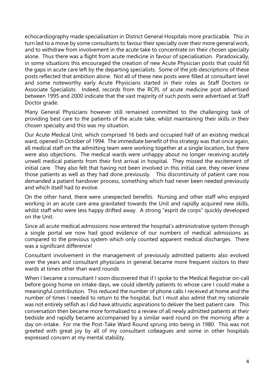echocardiography made specialisation in District General Hospitals more practicable. This in turn led to a move by some consultants to favour their specialty over their more general work, and to withdraw from involvement in the acute take to concentrate on their chosen specialty alone. Thus there was a flight from acute medicine in favour of specialisation. Paradoxically, in some situations this encouraged the creation of new Acute Physician posts that could fill the gaps in acute care left by the departing specialists. Some of the job descriptions of these posts reflected that ambition alone. Not all of these new posts were filled at consultant level and some noteworthy early Acute Physicians started in their roles as Staff Doctors or Associate Specialists. Indeed, records from the RCPL of acute medicine post advertised between 1995 and 2000 indicate that the vast majority of such posts were advertised at Staff Doctor grade.

Many General Physicians however still remained committed to the challenging task of providing best care to the patients of the acute take, whilst maintaining their skills in their chosen specialty and this was my situation.

Our Acute Medical Unit, which comprised 16 beds and occupied half of an existing medical ward, opened in October of 1994. The immediate benefit of this strategy was that once again, all medical staff on the admitting team were working together at a single location, but there were also objections. The medical wards were unhappy about no longer receiving acutely unwell medical patients from their first arrival in hospital. They missed the excitement of initial care. They also felt that having not been involved in this initial care, they never knew those patients as well as they had done previously. This discontinuity of patient care now demanded a patient handover process, something which had never been needed previously and which itself had to evolve.

On the other hand, there were unexpected benefits. Nursing and other staff who enjoyed working in an acute care area gravitated towards the Unit and rapidly acquired new skills, whilst staff who were less happy drifted away. A strong "esprit de corps" quickly developed on the Unit.

Since all acute medical admissions now entered the hospital's administrative system through a single portal we now had good evidence of our numbers of medical admissions as compared to the previous system which only counted apparent medical discharges. There was a significant difference!

Consultant involvement in the management of previously admitted patients also evolved over the years and consultant physicians in general became more frequent visitors to their wards at times other than ward rounds

When I became a consultant I soon discovered that if I spoke to the Medical Registrar on-call before going home on intake days, we could identify patients to whose care I could make a meaningful contribution. This reduced the number of phone calls I received at home and the number of times I needed to return to the hospital, but I must also admit that my rationale was not entirely selfish as I did have altruistic aspirations to deliver the best patient care. This conversation then became more formalised to a review of all newly admitted patients at their bedside and rapidly became accompanied by a similar ward round on the morning after a day on-intake. For me the Post-Take Ward Round sprung into being in 1980. This was not greeted with great joy by all of my consultant colleagues and some in other hospitals expressed concern at my mental stability.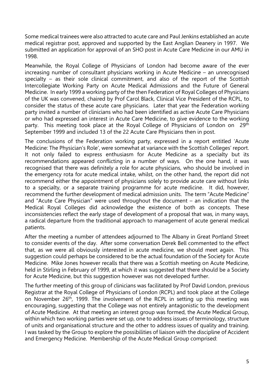Some medical trainees were also attracted to acute care and Paul Jenkins established an acute medical registrar post, approved and supported by the East Anglian Deanery in 1997. We submitted an application for approval of an SHO post in Acute Care Medicine in our AMU in 1998.

Meanwhile, the Royal College of Physicians of London had become aware of the ever increasing number of consultant physicians working in Acute Medicine – an unrecognised specialty – as their sole clinical commitment, and also of the report of the Scottish Intercollegiate Working Party on Acute Medical Admissions and the Future of General Medicine. In early 1999 a working party of the then Federation of Royal Colleges of Physicians of the UK was convened, chaired by Prof Carol Black, Clinical Vice President of the RCPL, to consider the status of these acute care physicians. Later that year the Federation working party invited a number of clinicians who had been identified as active Acute Care Physicians or who had expressed an interest in Acute Care Medicine, to give evidence to the working party. This meeting took place at the Royal College of Physicians of London on 29<sup>th</sup> September 1999 and included 13 of the 22 Acute Care Physicians then in post.

The conclusions of the Federation working party, expressed in a report entitled 'Acute Medicine: The Physician's Role', were somewhat at variance with the Scottish Colleges' report. It not only failed to express enthusiasm for Acute Medicine as a specialty but its recommendations appeared conflicting in a number of ways. On the one hand, it was recognised that there was definitely a role for acute physicians, who should be involved in the emergency rota for acute medical intake, whilst, on the other hand, the report did not recommend either the appointment of physicians solely to provide acute care without links to a specialty, or a separate training programme for acute medicine. It did, however, recommend the further development of medical admission units. The term "Acute Medicine" and "Acute Care Physician" were used throughout the document – an indication that the Medical Royal Colleges did acknowledge the existence of both as concepts. These inconsistencies reflect the early stage of development of a proposal that was, in many ways, a radical departure from the traditional approach to management of acute general medical patients.

After the meeting a number of attendees adjourned to The Albany in Great Portland Street to consider events of the day. After some conversation Derek Bell commented to the effect that, as we were all obviously interested in acute medicine, we should meet again. This suggestion could perhaps be considered to be the actual foundation of the Society for Acute Medicine. Mike Jones however recalls that there was a Scottish meeting on Acute Medicine, held in Stirling in February of 1999, at which it was suggested that there should be a Society for Acute Medicine, but this suggestion however was not developed further.

The further meeting of this group of clinicians was facilitated by Prof David London, previous Registrar at the Royal College of Physicians of London (RCPL) and took place at the College on November 26<sup>th</sup>, 1999. The involvement of the RCPL in setting up this meeting was encouraging, suggesting that the College was not entirely antagonistic to the development of Acute Medicine. At that meeting an interest group was formed, the Acute Medical Group, within which two working parties were set up, one to address issues of terminology, structure of units and organisational structure and the other to address issues of quality and training. I was tasked by the Group to explore the possibilities of liaison with the discipline of Accident and Emergency Medicine. Membership of the Acute Medical Group comprised: